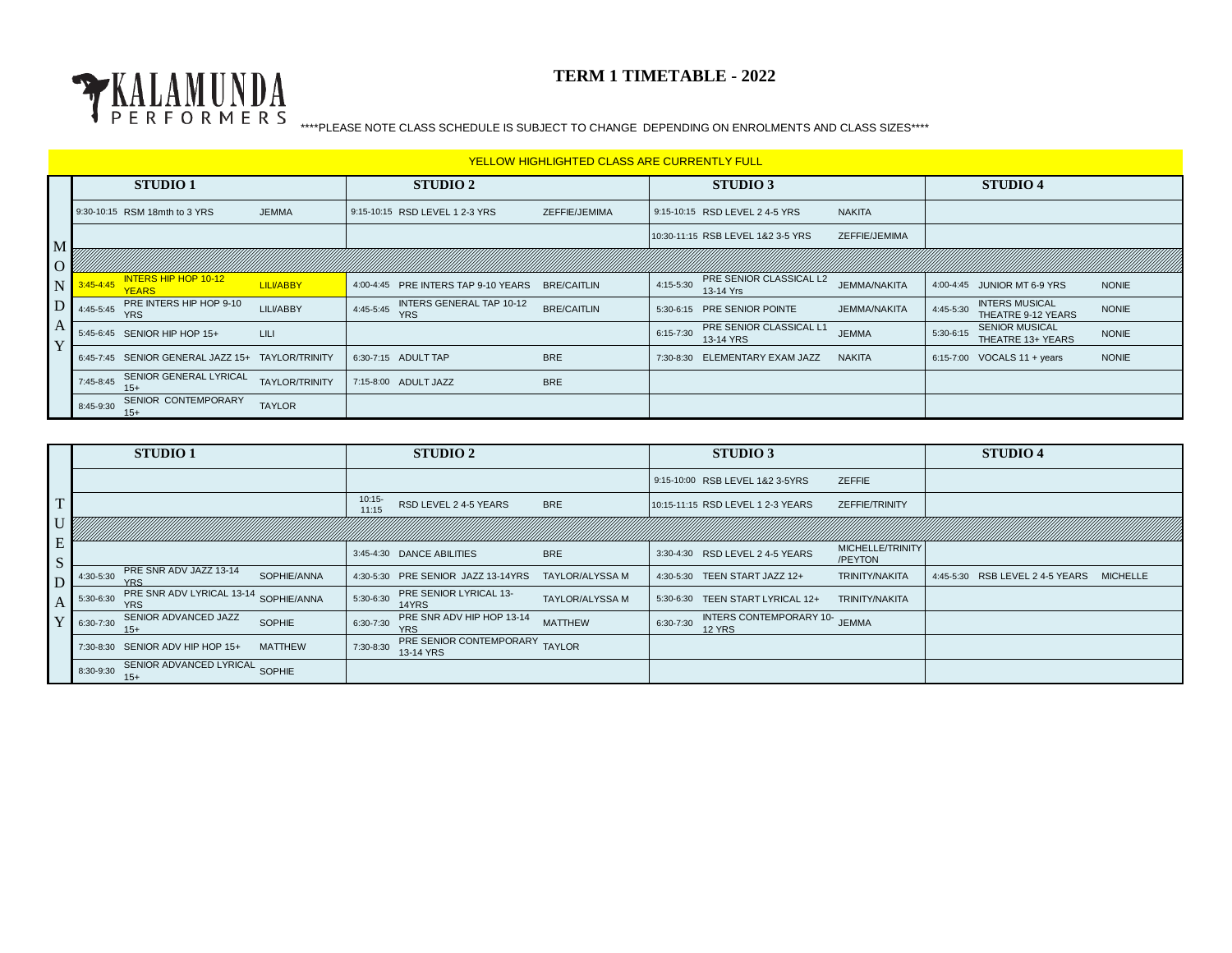

|                      | <u>YELLOW HIGHLIGHTED CLASS ARE CURRENTLY FULL</u> |                                        |                       |                                                     |                    |           |                                             |                     |             |                                             |              |  |
|----------------------|----------------------------------------------------|----------------------------------------|-----------------------|-----------------------------------------------------|--------------------|-----------|---------------------------------------------|---------------------|-------------|---------------------------------------------|--------------|--|
|                      | <b>STUDIO 1</b>                                    |                                        | STUDIO 2              |                                                     | <b>STUDIO 3</b>    |           |                                             | <b>STUDIO 4</b>     |             |                                             |              |  |
|                      |                                                    | 9:30-10:15 RSM 18mth to 3 YRS          | <b>JEMMA</b>          | 9:15-10:15 RSD LEVEL 1 2-3 YRS                      | ZEFFIE/JEMIMA      |           | 9:15-10:15 RSD LEVEL 2 4-5 YRS              | <b>NAKITA</b>       |             |                                             |              |  |
| $\mathbf M$          |                                                    |                                        |                       |                                                     |                    |           | 10:30-11:15 RSB LEVEL 1&2 3-5 YRS           | ZEFFIE/JEMIMA       |             |                                             |              |  |
| $\overline{O}$       |                                                    |                                        |                       |                                                     |                    |           |                                             |                     |             |                                             |              |  |
| N                    | $3:45 - 4:45$                                      | <b>INTERS HIP HOP 10-12</b><br>YEARS.  | <b>LILI/ABBY</b>      | 4:00-4:45 PRE INTERS TAP 9-10 YEARS                 | <b>BRE/CAITLIN</b> | 4:15-5:30 | PRE SENIOR CLASSICAL L2<br>13-14 Yrs        | <b>JEMMA/NAKITA</b> |             | 4:00-4:45 JUNIOR MT 6-9 YRS                 | <b>NONIE</b> |  |
|                      | $D$ 4:45-5:45                                      | PRE INTERS HIP HOP 9-10<br><b>YRS</b>  | LILI/ABBY             | INTERS GENERAL TAP 10-12<br>4:45-5:45<br><b>YRS</b> | <b>BRE/CAITLIN</b> |           | 5:30-6:15 PRE SENIOR POINTE                 | <b>JEMMA/NAKITA</b> | 4:45-5:30   | <b>INTERS MUSICAL</b><br>THEATRE 9-12 YEARS | <b>NONIE</b> |  |
| $\mathsf{I}$ A<br> Y |                                                    | 5:45-6:45 SENIOR HIP HOP 15+           | LILI                  |                                                     |                    | 6:15-7:30 | <b>PRE SENIOR CLASSICAL L1</b><br>13-14 YRS | <b>JEMMA</b>        | $5:30-6:15$ | <b>SENIOR MUSICAL</b><br>THEATRE 13+ YEARS  | <b>NONIE</b> |  |
|                      | 6:45-7:45                                          | SENIOR GENERAL JAZZ 15+ TAYLOR/TRINITY |                       | 6:30-7:15 ADULT TAP                                 | <b>BRE</b>         |           | 7:30-8:30 ELEMENTARY EXAM JAZZ              | <b>NAKITA</b>       |             | 6:15-7:00 VOCALS 11 + years                 | <b>NONIE</b> |  |
|                      | 7:45-8:45                                          | SENIOR GENERAL LYRICAL<br>$15+$        | <b>TAYLOR/TRINITY</b> | 7:15-8:00 ADULT JAZZ                                | <b>BRE</b>         |           |                                             |                     |             |                                             |              |  |
|                      | 8:45-9:30                                          | SENIOR CONTEMPORARY<br>$15+$           | <b>TAYLOR</b>         |                                                     |                    |           |                                             |                     |             |                                             |              |  |

|              | <b>STUDIO 1</b>                                                     | <b>STUDIO 2</b>                                                        | <b>STUDIO 3</b>                                                | <b>STUDIO 4</b>                             |
|--------------|---------------------------------------------------------------------|------------------------------------------------------------------------|----------------------------------------------------------------|---------------------------------------------|
|              |                                                                     |                                                                        | <b>ZEFFIE</b><br>9:15-10:00 RSB LEVEL 1&2 3-5YRS               |                                             |
| / T          |                                                                     | 10:15<br>RSD LEVEL 2 4-5 YEARS<br><b>BRE</b><br>11:15                  | ZEFFIE/TRINITY<br>10:15-11:15 RSD LEVEL 1 2-3 YEARS            |                                             |
| U            |                                                                     |                                                                        |                                                                |                                             |
| E<br>S       |                                                                     | <b>BRE</b><br>3:45-4:30 DANCE ABILITIES                                | MICHELLE/TRINITY<br>3:30-4:30 RSD LEVEL 2 4-5 YEARS<br>/PEYTON |                                             |
| D            | PRE SNR ADV JAZZ 13-14<br>4:30-5:30<br>SOPHIE/ANNA                  | 4:30-5:30 PRE SENIOR JAZZ 13-14YRS<br>TAYLOR/ALYSSA M                  | <b>TRINITY/NAKITA</b><br>4:30-5:30 TEEN START JAZZ 12+         | 4:45-5:30 RSB LEVEL 2 4-5 YEARS<br>MICHELLE |
| $\mathbf{A}$ | PRE SNR ADV LYRICAL 13-14<br>5:30-6:30<br>SOPHIE/ANNA<br><b>YRS</b> | PRE SENIOR LYRICAL 13-<br>5:30-6:30<br>TAYLOR/ALYSSA M<br>14YRS        | 5:30-6:30<br>TEEN START LYRICAL 12+<br><b>TRINITY/NAKITA</b>   |                                             |
|              | SENIOR ADVANCED JAZZ<br>SOPHIE<br>6:30-7:30<br>15+                  | PRE SNR ADV HIP HOP 13-14<br>6:30-7:30<br><b>MATTHEW</b><br><b>YRS</b> | INTERS CONTEMPORARY 10-<br><b>JEMMA</b><br>6:30-7:30<br>12 YRS |                                             |
|              | 7:30-8:30 SENIOR ADV HIP HOP 15+<br><b>MATTHEW</b>                  | PRE SENIOR CONTEMPORARY<br><b>TAYLOR</b><br>7:30-8:30<br>13-14 YRS     |                                                                |                                             |
|              | SENIOR ADVANCED LYRICAL SOPHIE<br>8:30-9:30<br>$15+$                |                                                                        |                                                                |                                             |